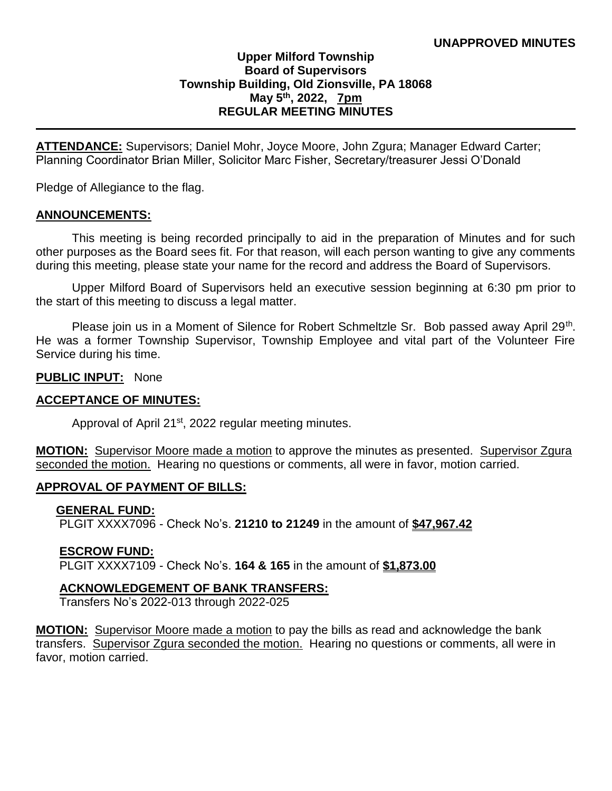# **Upper Milford Township Board of Supervisors Township Building, Old Zionsville, PA 18068 May 5th, 2022, 7pm REGULAR MEETING MINUTES**

**ATTENDANCE:** Supervisors; Daniel Mohr, Joyce Moore, John Zgura; Manager Edward Carter; Planning Coordinator Brian Miller, Solicitor Marc Fisher, Secretary/treasurer Jessi O'Donald

Pledge of Allegiance to the flag.

### **ANNOUNCEMENTS:**

 This meeting is being recorded principally to aid in the preparation of Minutes and for such other purposes as the Board sees fit. For that reason, will each person wanting to give any comments during this meeting, please state your name for the record and address the Board of Supervisors.

Upper Milford Board of Supervisors held an executive session beginning at 6:30 pm prior to the start of this meeting to discuss a legal matter.

Please join us in a Moment of Silence for Robert Schmeltzle Sr. Bob passed away April 29<sup>th</sup>. He was a former Township Supervisor, Township Employee and vital part of the Volunteer Fire Service during his time.

### **PUBLIC INPUT:** None

### **ACCEPTANCE OF MINUTES:**

Approval of April 21<sup>st</sup>, 2022 regular meeting minutes.

**MOTION:** Supervisor Moore made a motion to approve the minutes as presented. Supervisor Zgura seconded the motion. Hearing no questions or comments, all were in favor, motion carried.

### **APPROVAL OF PAYMENT OF BILLS:**

### **GENERAL FUND:**

PLGIT XXXX7096 - Check No's. **21210 to 21249** in the amount of **\$47,967.42**

### **ESCROW FUND:**

PLGIT XXXX7109 - Check No's. **164 & 165** in the amount of **\$1,873.00**

### **ACKNOWLEDGEMENT OF BANK TRANSFERS:**

Transfers No's 2022-013 through 2022-025

**MOTION:** Supervisor Moore made a motion to pay the bills as read and acknowledge the bank transfers. Supervisor Zgura seconded the motion. Hearing no questions or comments, all were in favor, motion carried.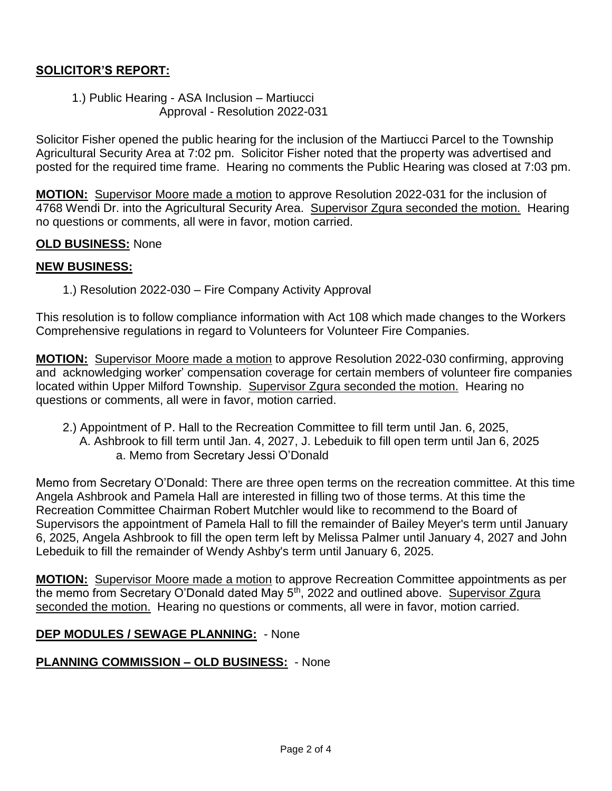# **SOLICITOR'S REPORT:**

1.) Public Hearing - ASA Inclusion – Martiucci Approval - Resolution 2022-031

Solicitor Fisher opened the public hearing for the inclusion of the Martiucci Parcel to the Township Agricultural Security Area at 7:02 pm. Solicitor Fisher noted that the property was advertised and posted for the required time frame. Hearing no comments the Public Hearing was closed at 7:03 pm.

**MOTION:** Supervisor Moore made a motion to approve Resolution 2022-031 for the inclusion of 4768 Wendi Dr. into the Agricultural Security Area. Supervisor Zgura seconded the motion. Hearing no questions or comments, all were in favor, motion carried.

## **OLD BUSINESS:** None

## **NEW BUSINESS:**

1.) Resolution 2022-030 – Fire Company Activity Approval

This resolution is to follow compliance information with Act 108 which made changes to the Workers Comprehensive regulations in regard to Volunteers for Volunteer Fire Companies.

**MOTION:** Supervisor Moore made a motion to approve Resolution 2022-030 confirming, approving and acknowledging worker' compensation coverage for certain members of volunteer fire companies located within Upper Milford Township. Supervisor Zgura seconded the motion. Hearing no questions or comments, all were in favor, motion carried.

 2.) Appointment of P. Hall to the Recreation Committee to fill term until Jan. 6, 2025, A. Ashbrook to fill term until Jan. 4, 2027, J. Lebeduik to fill open term until Jan 6, 2025 a. Memo from Secretary Jessi O'Donald

Memo from Secretary O'Donald: There are three open terms on the recreation committee. At this time Angela Ashbrook and Pamela Hall are interested in filling two of those terms. At this time the Recreation Committee Chairman Robert Mutchler would like to recommend to the Board of Supervisors the appointment of Pamela Hall to fill the remainder of Bailey Meyer's term until January 6, 2025, Angela Ashbrook to fill the open term left by Melissa Palmer until January 4, 2027 and John Lebeduik to fill the remainder of Wendy Ashby's term until January 6, 2025.

**MOTION:** Supervisor Moore made a motion to approve Recreation Committee appointments as per the memo from Secretary O'Donald dated May 5<sup>th</sup>, 2022 and outlined above. Supervisor Zgura seconded the motion. Hearing no questions or comments, all were in favor, motion carried.

## **DEP MODULES / SEWAGE PLANNING:** - None

## **PLANNING COMMISSION – OLD BUSINESS:** - None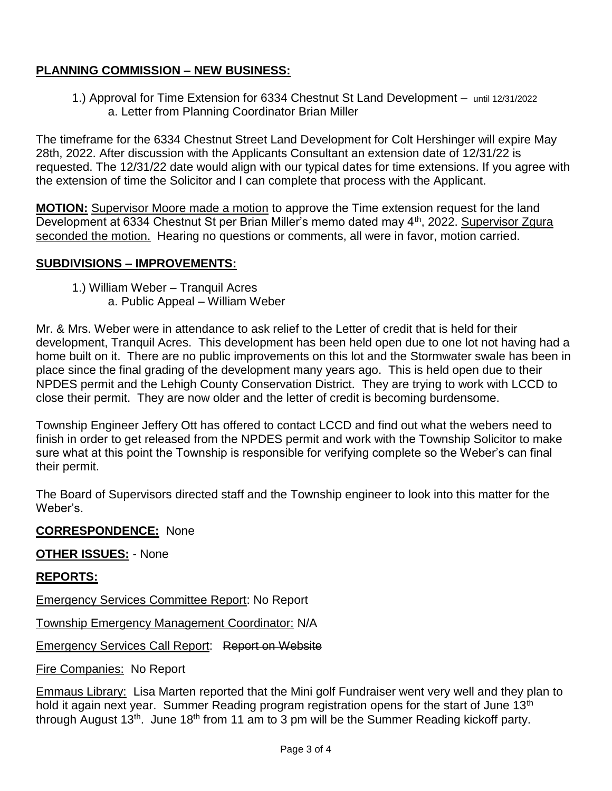# **PLANNING COMMISSION – NEW BUSINESS:**

1.) Approval for Time Extension for 6334 Chestnut St Land Development – until 12/31/2022 a. Letter from Planning Coordinator Brian Miller

The timeframe for the 6334 Chestnut Street Land Development for Colt Hershinger will expire May 28th, 2022. After discussion with the Applicants Consultant an extension date of 12/31/22 is requested. The 12/31/22 date would align with our typical dates for time extensions. If you agree with the extension of time the Solicitor and I can complete that process with the Applicant.

**MOTION:** Supervisor Moore made a motion to approve the Time extension request for the land Development at 6334 Chestnut St per Brian Miller's memo dated may 4<sup>th</sup>, 2022. Supervisor Zgura seconded the motion. Hearing no questions or comments, all were in favor, motion carried.

# **SUBDIVISIONS – IMPROVEMENTS:**

1.) William Weber – Tranquil Acres a. Public Appeal – William Weber

Mr. & Mrs. Weber were in attendance to ask relief to the Letter of credit that is held for their development, Tranquil Acres. This development has been held open due to one lot not having had a home built on it. There are no public improvements on this lot and the Stormwater swale has been in place since the final grading of the development many years ago. This is held open due to their NPDES permit and the Lehigh County Conservation District. They are trying to work with LCCD to close their permit. They are now older and the letter of credit is becoming burdensome.

Township Engineer Jeffery Ott has offered to contact LCCD and find out what the webers need to finish in order to get released from the NPDES permit and work with the Township Solicitor to make sure what at this point the Township is responsible for verifying complete so the Weber's can final their permit.

The Board of Supervisors directed staff and the Township engineer to look into this matter for the Weber's.

## **CORRESPONDENCE:** None

# **OTHER ISSUES:** - None

## **REPORTS:**

Emergency Services Committee Report: No Report

Township Emergency Management Coordinator: N/A

Emergency Services Call Report: Report on Website

Fire Companies: No Report

**Emmaus Library:** Lisa Marten reported that the Mini golf Fundraiser went very well and they plan to hold it again next year. Summer Reading program registration opens for the start of June 13<sup>th</sup> through August  $13<sup>th</sup>$ . June  $18<sup>th</sup>$  from 11 am to 3 pm will be the Summer Reading kickoff party.